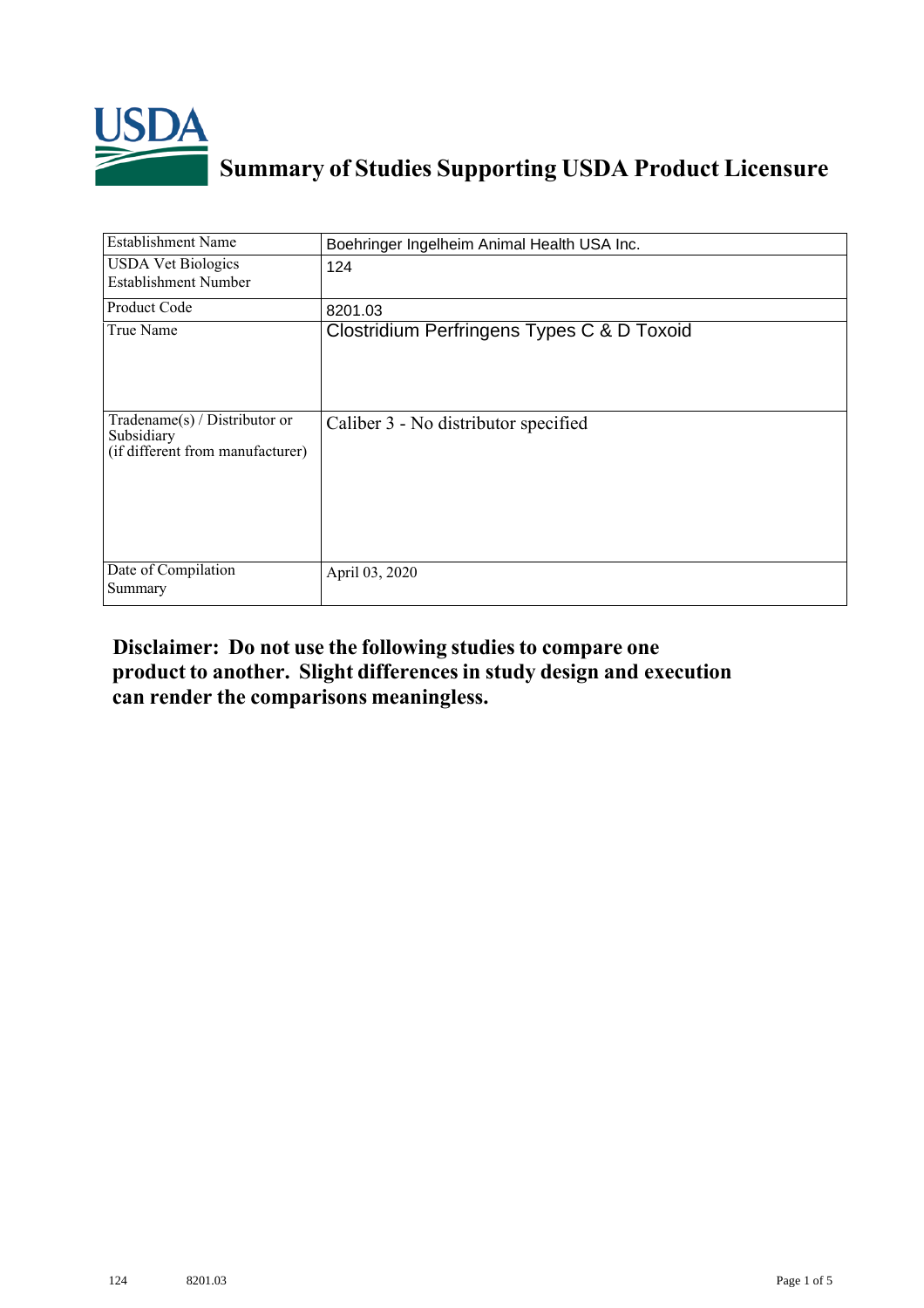

## **Summary of Studies Supporting USDA Product Licensure**

| <b>Establishment Name</b>                                                          | Boehringer Ingelheim Animal Health USA Inc. |
|------------------------------------------------------------------------------------|---------------------------------------------|
| <b>USDA</b> Vet Biologics<br>Establishment Number                                  | 124                                         |
| Product Code                                                                       | 8201.03                                     |
| True Name                                                                          | Clostridium Perfringens Types C & D Toxoid  |
| Tradename $(s)$ / Distributor or<br>Subsidiary<br>(if different from manufacturer) | Caliber 3 - No distributor specified        |
| Date of Compilation<br>Summary                                                     | April 03, 2020                              |

## **Disclaimer: Do not use the following studiesto compare one product to another. Slight differencesin study design and execution can render the comparisons meaningless.**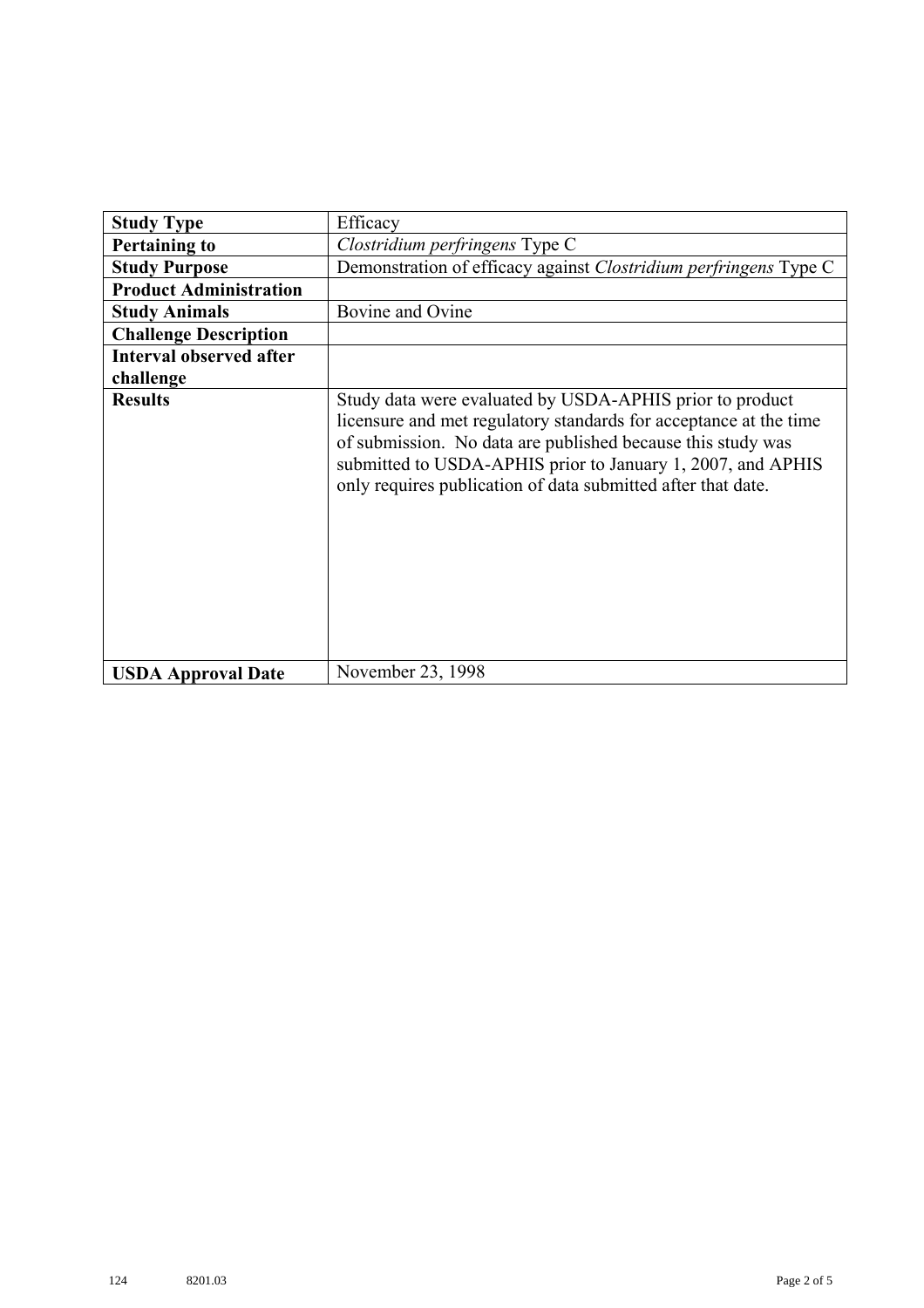| <b>Study Type</b>              | Efficacy                                                                                                                                                                                                                                                                                                                    |
|--------------------------------|-----------------------------------------------------------------------------------------------------------------------------------------------------------------------------------------------------------------------------------------------------------------------------------------------------------------------------|
| <b>Pertaining to</b>           | Clostridium perfringens Type C                                                                                                                                                                                                                                                                                              |
| <b>Study Purpose</b>           | Demonstration of efficacy against Clostridium perfringens Type C                                                                                                                                                                                                                                                            |
| <b>Product Administration</b>  |                                                                                                                                                                                                                                                                                                                             |
| <b>Study Animals</b>           | Bovine and Ovine                                                                                                                                                                                                                                                                                                            |
| <b>Challenge Description</b>   |                                                                                                                                                                                                                                                                                                                             |
| <b>Interval observed after</b> |                                                                                                                                                                                                                                                                                                                             |
| challenge                      |                                                                                                                                                                                                                                                                                                                             |
| <b>Results</b>                 | Study data were evaluated by USDA-APHIS prior to product<br>licensure and met regulatory standards for acceptance at the time<br>of submission. No data are published because this study was<br>submitted to USDA-APHIS prior to January 1, 2007, and APHIS<br>only requires publication of data submitted after that date. |
| <b>USDA Approval Date</b>      | November 23, 1998                                                                                                                                                                                                                                                                                                           |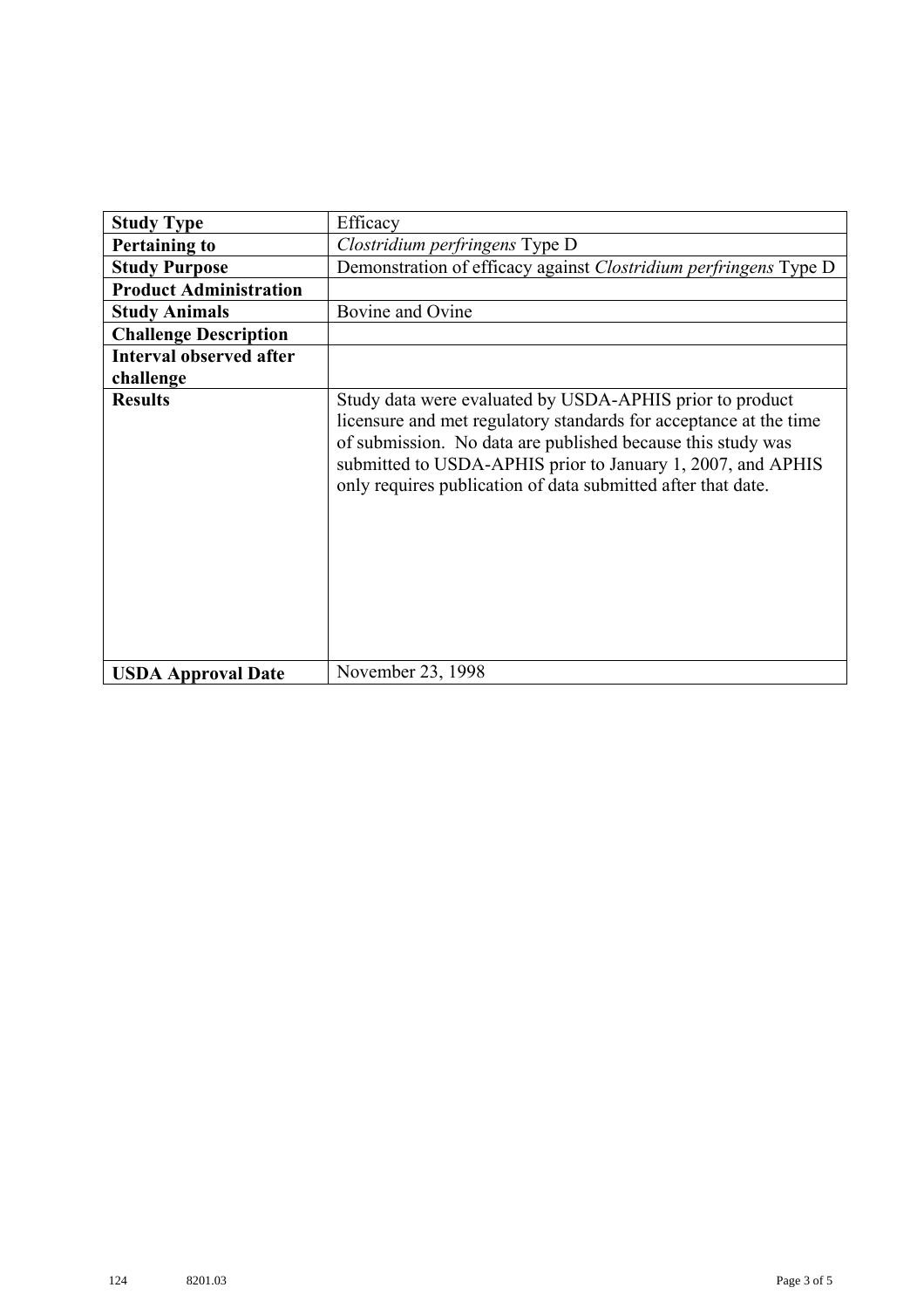| <b>Study Type</b>              | Efficacy                                                                                                                                                                                                                                                                                                                    |
|--------------------------------|-----------------------------------------------------------------------------------------------------------------------------------------------------------------------------------------------------------------------------------------------------------------------------------------------------------------------------|
| <b>Pertaining to</b>           | Clostridium perfringens Type D                                                                                                                                                                                                                                                                                              |
| <b>Study Purpose</b>           | Demonstration of efficacy against Clostridium perfringens Type D                                                                                                                                                                                                                                                            |
| <b>Product Administration</b>  |                                                                                                                                                                                                                                                                                                                             |
| <b>Study Animals</b>           | Bovine and Ovine                                                                                                                                                                                                                                                                                                            |
| <b>Challenge Description</b>   |                                                                                                                                                                                                                                                                                                                             |
| <b>Interval observed after</b> |                                                                                                                                                                                                                                                                                                                             |
| challenge                      |                                                                                                                                                                                                                                                                                                                             |
| <b>Results</b>                 | Study data were evaluated by USDA-APHIS prior to product<br>licensure and met regulatory standards for acceptance at the time<br>of submission. No data are published because this study was<br>submitted to USDA-APHIS prior to January 1, 2007, and APHIS<br>only requires publication of data submitted after that date. |
| <b>USDA Approval Date</b>      | November 23, 1998                                                                                                                                                                                                                                                                                                           |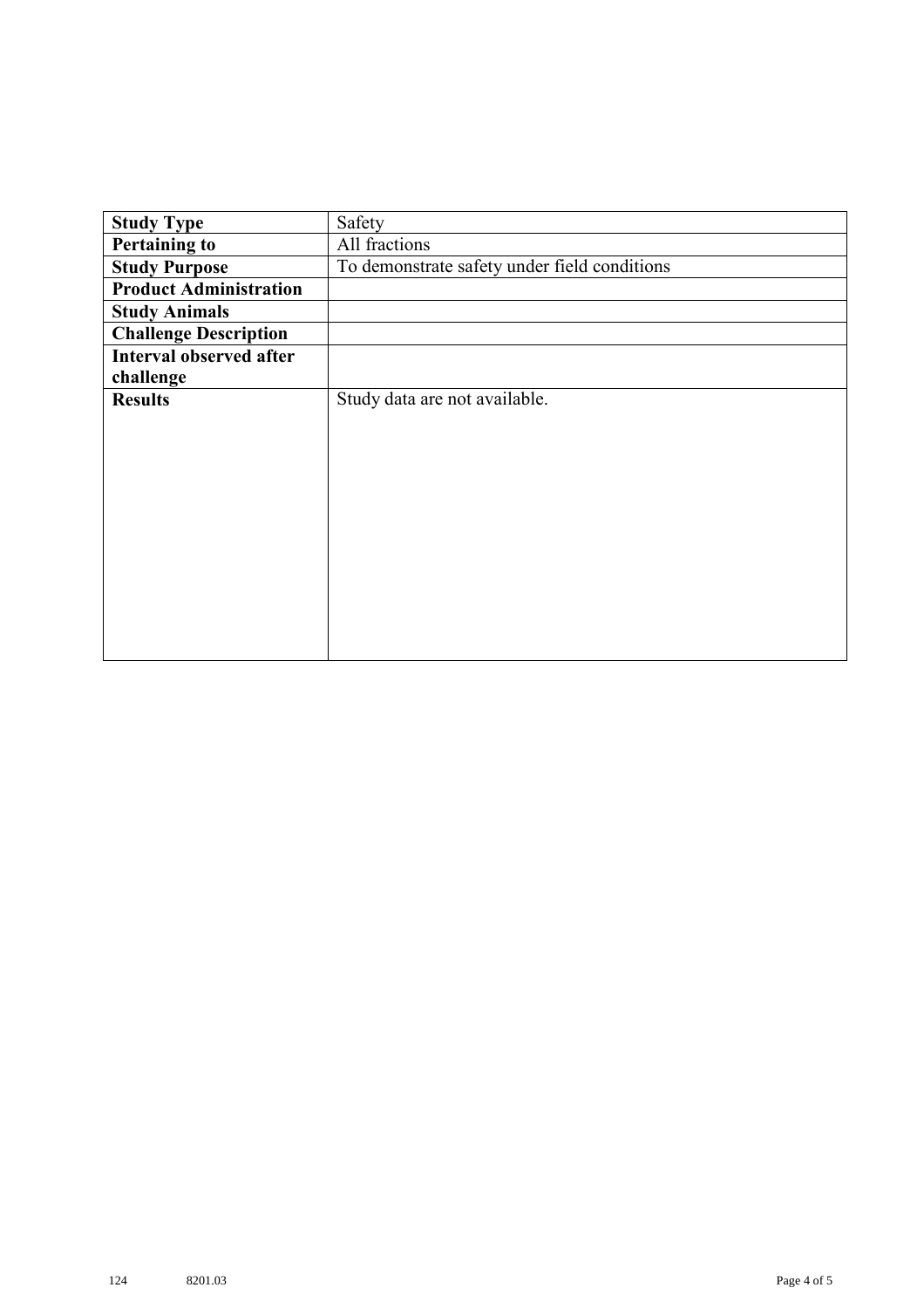| <b>Study Type</b>              | Safety                                       |
|--------------------------------|----------------------------------------------|
| <b>Pertaining to</b>           | All fractions                                |
| <b>Study Purpose</b>           | To demonstrate safety under field conditions |
| <b>Product Administration</b>  |                                              |
| <b>Study Animals</b>           |                                              |
| <b>Challenge Description</b>   |                                              |
| <b>Interval observed after</b> |                                              |
| challenge                      |                                              |
| <b>Results</b>                 | Study data are not available.                |
|                                |                                              |
|                                |                                              |
|                                |                                              |
|                                |                                              |
|                                |                                              |
|                                |                                              |
|                                |                                              |
|                                |                                              |
|                                |                                              |
|                                |                                              |
|                                |                                              |